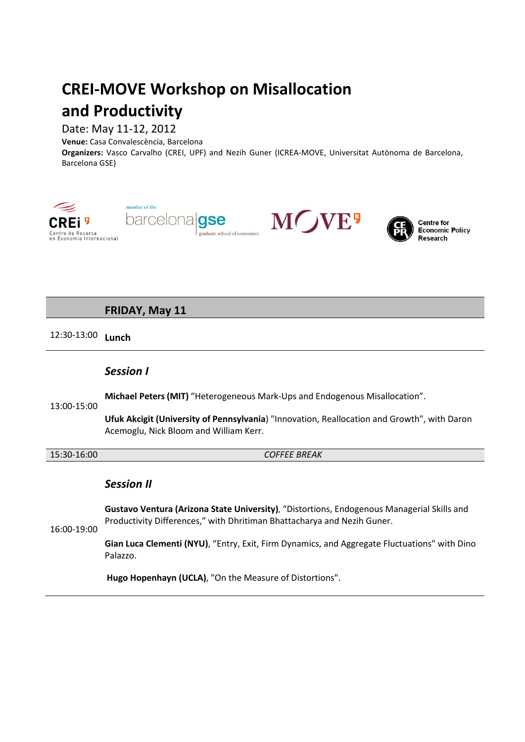# **CREI-MOVE Workshop on Misallocation and Productivity**

## Date: May 11-12, 2012

**Venue:** Casa Convalescència, Barcelona

**Organizers:** Vasco Carvalho (CREI, UPF) and Nezih Guner (ICREA-MOVE, Universitat Autònoma de Barcelona, Barcelona GSE)



**FRIDAY, May 11**

# 12:30-13:00 **Lunch**

## *Session I*

**Michael Peters(MIT)** "Heterogeneous Mark-Ups and Endogenous Misallocation".

13:00-15:00

**Ufuk Akcigit (University of Pennsylvania**) "Innovation, Reallocation and Growth", with Daron Acemoglu, Nick Bloom and William Kerr.

15:30-16:00 *COFFEE BREAK*

## *Session II*

**Gustavo Ventura (Arizona State University)**, "Distortions, Endogenous Managerial Skills and Productivity Differences," with Dhritiman Bhattacharya and Nezih Guner.

16:00-19:00

**Gian Luca Clementi (NYU)**, "Entry, Exit, Firm Dynamics, and Aggregate Fluctuations" with Dino Palazzo.

**Hugo Hopenhayn (UCLA)**, "On the Measure of Distortions".